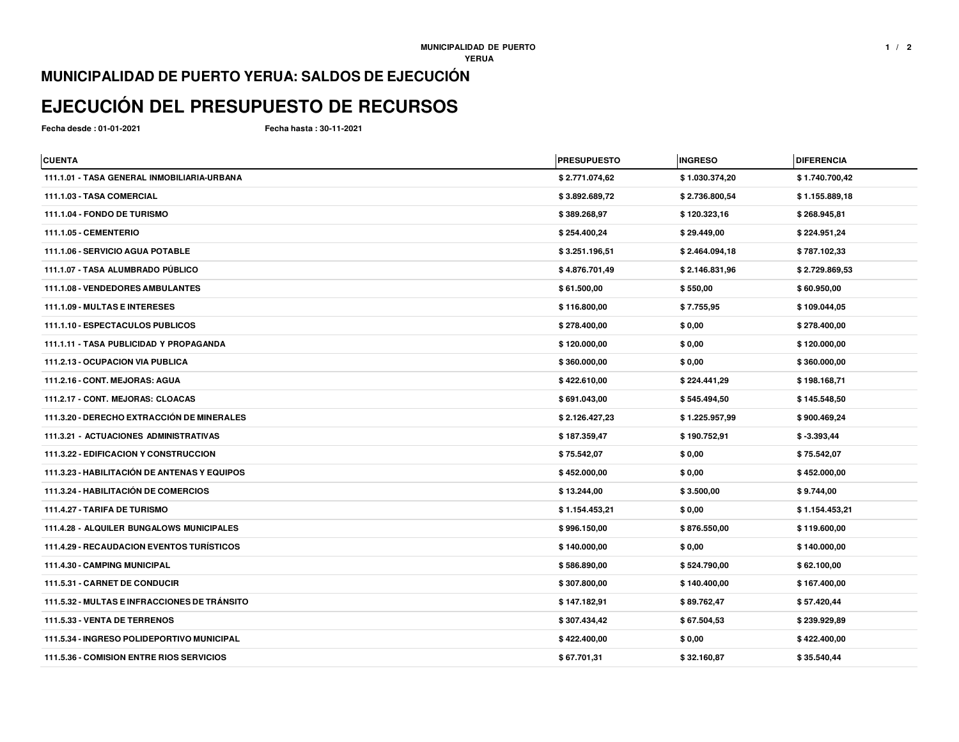## **MUNICIPALIDAD DE PUERTO YERUA: SALDOS DE EJECUCIÓN**

## **EJECUCIÓN DEL PRESUPUESTO DE RECURSOS**

**Fecha desde : 01-01-2021**

**Fecha hasta : 30-11-2021**

| <b>CUENTA</b>                                    | <b>PRESUPUESTO</b> | <b>INGRESO</b> | <b>DIFERENCIA</b> |
|--------------------------------------------------|--------------------|----------------|-------------------|
| 111.1.01 - TASA GENERAL INMOBILIARIA-URBANA      | \$2.771.074,62     | \$1.030.374,20 | \$1.740.700,42    |
| 111.1.03 - TASA COMERCIAL                        | \$3.892.689,72     | \$2.736.800,54 | \$1.155.889,18    |
| 111.1.04 - FONDO DE TURISMO                      | \$389.268,97       | \$120.323,16   | \$268.945,81      |
| <b>111.1.05 - CEMENTERIO</b>                     | \$254.400,24       | \$29.449,00    | \$224.951,24      |
| 111.1.06 - SERVICIO AGUA POTABLE                 | \$3.251.196,51     | \$2.464.094,18 | \$787.102,33      |
| 111.1.07 - TASA ALUMBRADO PÚBLICO                | \$4.876.701,49     | \$2.146.831,96 | \$2.729.869,53    |
| 111.1.08 - VENDEDORES AMBULANTES                 | \$61.500,00        | \$550,00       | \$60.950,00       |
| 111.1.09 - MULTAS E INTERESES                    | \$116.800,00       | \$7.755,95     | \$109.044,05      |
| 111.1.10 - ESPECTACULOS PUBLICOS                 | \$278.400,00       | \$0,00         | \$278.400,00      |
| 111.1.11 - TASA PUBLICIDAD Y PROPAGANDA          | \$120.000,00       | \$0,00         | \$120.000,00      |
| 111.2.13 - OCUPACION VIA PUBLICA                 | \$360.000,00       | \$0,00         | \$360.000,00      |
| 111.2.16 - CONT. MEJORAS: AGUA                   | \$422.610,00       | \$224.441,29   | \$198.168,71      |
| 111.2.17 - CONT. MEJORAS: CLOACAS                | \$691.043,00       | \$545.494,50   | \$145.548,50      |
| 111.3.20 - DERECHO EXTRACCIÓN DE MINERALES       | \$2.126.427,23     | \$1.225.957,99 | \$900.469,24      |
| 111.3.21 - ACTUACIONES ADMINISTRATIVAS           | \$187.359,47       | \$190.752,91   | $$ -3.393,44$     |
| 111.3.22 - EDIFICACION Y CONSTRUCCION            | \$75.542,07        | \$0,00         | \$75.542,07       |
| 111.3.23 - HABILITACIÓN DE ANTENAS Y EQUIPOS     | \$452.000,00       | \$0,00         | \$452.000,00      |
| <b>111.3.24 - HABILITACIÓN DE COMERCIOS</b>      | \$13.244,00        | \$3.500,00     | \$9.744,00        |
| 111.4.27 - TARIFA DE TURISMO                     | \$1.154.453,21     | \$0,00         | \$1.154.453,21    |
| <b>111.4.28 - ALQUILER BUNGALOWS MUNICIPALES</b> | \$996.150,00       | \$876.550,00   | \$119.600,00      |
| <b>111.4.29 - RECAUDACION EVENTOS TURÍSTICOS</b> | \$140.000,00       | \$0,00         | \$140.000,00      |
| 111.4.30 - CAMPING MUNICIPAL                     | \$586.890,00       | \$524.790,00   | \$62.100,00       |
| 111.5.31 - CARNET DE CONDUCIR                    | \$307.800,00       | \$140.400,00   | \$167.400,00      |
| 111.5.32 - MULTAS E INFRACCIONES DE TRÁNSITO     | \$147.182,91       | \$89.762,47    | \$57.420,44       |
| 111.5.33 - VENTA DE TERRENOS                     | \$307.434,42       | \$67.504,53    | \$239.929,89      |
| 111.5.34 - INGRESO POLIDEPORTIVO MUNICIPAL       | \$422.400,00       | \$0,00         | \$422.400,00      |
| 111.5.36 - COMISION ENTRE RIOS SERVICIOS         | \$67.701,31        | \$32.160,87    | \$35.540,44       |
|                                                  |                    |                |                   |